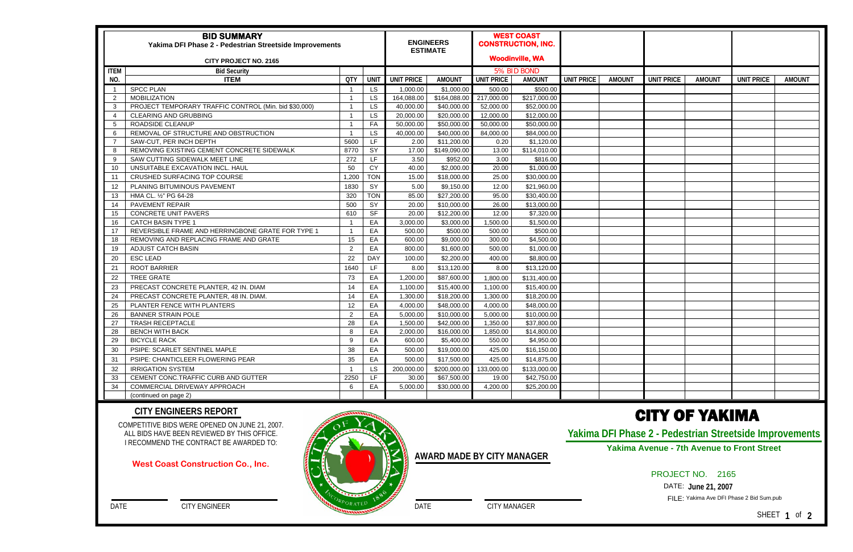| <b>BID SUMMARY</b><br>Yakima DFI Phase 2 - Pedestrian Streetside Improvements |                                                       |                |             |                   | <b>ENGINEERS</b><br><b>ESTIMATE</b> |                   | <b>WEST COAST</b><br><b>CONSTRUCTION, INC.</b> |                   |               |                   |               |                   |               |
|-------------------------------------------------------------------------------|-------------------------------------------------------|----------------|-------------|-------------------|-------------------------------------|-------------------|------------------------------------------------|-------------------|---------------|-------------------|---------------|-------------------|---------------|
| <b>CITY PROJECT NO. 2165</b>                                                  |                                                       |                |             |                   |                                     |                   | <b>Woodinville, WA</b>                         |                   |               |                   |               |                   |               |
| <b>ITEM</b>                                                                   | <b>Bid Security</b>                                   |                |             |                   |                                     |                   | 5% BID BOND                                    |                   |               |                   |               |                   |               |
| NO.                                                                           | <b>ITEM</b>                                           | <b>QTY</b>     | <b>UNIT</b> | <b>UNIT PRICE</b> | <b>AMOUNT</b>                       | <b>UNIT PRICE</b> | <b>AMOUNT</b>                                  | <b>UNIT PRICE</b> | <b>AMOUNT</b> | <b>UNIT PRICE</b> | <b>AMOUNT</b> | <b>UNIT PRICE</b> | <b>AMOUNT</b> |
|                                                                               | <b>SPCC PLAN</b>                                      |                | <b>LS</b>   | 1,000.00          | \$1,000.00                          | 500.00            | \$500.00                                       |                   |               |                   |               |                   |               |
| -2                                                                            | <b>MOBILIZATION</b>                                   |                | LS          | 164,088.00        | \$164,088.00                        | 217,000.00        | $\overline{$}217,000.00$                       |                   |               |                   |               |                   |               |
| -3                                                                            | PROJECT TEMPORARY TRAFFIC CONTROL (Min. bid \$30,000) |                | LS          | 40,000.00         | \$40,000.00                         | 52,000.00         | \$52,000.00                                    |                   |               |                   |               |                   |               |
| - 4                                                                           | <b>CLEARING AND GRUBBING</b>                          |                | LS          | 20,000.00         | \$20,000.00                         | 12,000.00         | \$12,000.00                                    |                   |               |                   |               |                   |               |
| -5                                                                            | ROADSIDE CLEANUP                                      |                | FA          | 50,000.00         | \$50,000.00                         | 50,000.00         | \$50,000.00                                    |                   |               |                   |               |                   |               |
| -6                                                                            | REMOVAL OF STRUCTURE AND OBSTRUCTION                  |                | LS.         | 40,000.00         | \$40,000.00                         | 84,000.00         | \$84,000.00                                    |                   |               |                   |               |                   |               |
|                                                                               | SAW-CUT, PER INCH DEPTH                               | 5600           | LF          | 2.00              | \$11,200.00                         | 0.20              | \$1,120.00                                     |                   |               |                   |               |                   |               |
| -8                                                                            | REMOVING EXISTING CEMENT CONCRETE SIDEWALK            | 8770           | SY          | 17.00             | \$149,090.00                        | 13.00             | \$114,010.00                                   |                   |               |                   |               |                   |               |
| -9                                                                            | SAW CUTTING SIDEWALK MEET LINE                        | 272            | LF          | 3.50              | \$952.00                            | 3.00              | \$816.00                                       |                   |               |                   |               |                   |               |
| 10                                                                            | UNSUITABLE EXCAVATION INCL. HAUL                      | 50             | <b>CY</b>   | 40.00             | \$2,000.00                          | 20.00             | \$1,000.00                                     |                   |               |                   |               |                   |               |
| -11                                                                           | CRUSHED SURFACING TOP COURSE                          | 1,200          | <b>TON</b>  | 15.00             | \$18,000.00                         | 25.00             | \$30,000.00                                    |                   |               |                   |               |                   |               |
| 12                                                                            | PLANING BITUMINOUS PAVEMENT                           | 1830           | SY          | 5.00              | \$9,150.00                          | 12.00             | \$21,960.00                                    |                   |               |                   |               |                   |               |
| 13                                                                            | HMA CL. 1/2" PG 64-28                                 | 320            | <b>TON</b>  | 85.00             | \$27,200.00                         | 95.00             | \$30,400.00                                    |                   |               |                   |               |                   |               |
| 14                                                                            | PAVEMENT REPAIR                                       | 500            | SY          | 20.00             | \$10,000.00                         | 26.00             | \$13,000.00                                    |                   |               |                   |               |                   |               |
| 15                                                                            | <b>CONCRETE UNIT PAVERS</b>                           | 610            | <b>SF</b>   | 20.00             | \$12,200.00                         | 12.00             | \$7,320.00                                     |                   |               |                   |               |                   |               |
| 16                                                                            | <b>CATCH BASIN TYPE 1</b>                             |                | EA          | 3,000.00          | \$3,000.00                          | 1,500.00          | \$1,500.00                                     |                   |               |                   |               |                   |               |
| 17                                                                            | REVERSIBLE FRAME AND HERRINGBONE GRATE FOR TYPE 1     |                | EA          | 500.00            | \$500.00                            | 500.00            | \$500.00                                       |                   |               |                   |               |                   |               |
| 18                                                                            | REMOVING AND REPLACING FRAME AND GRATE                | 15             | EA          | 600.00            | \$9,000.00                          | 300.00            | \$4,500.00                                     |                   |               |                   |               |                   |               |
| 19                                                                            | <b>ADJUST CATCH BASIN</b>                             | 2              | EA          | 800.00            | \$1,600.00                          | 500.00            | \$1,000.00                                     |                   |               |                   |               |                   |               |
| 20                                                                            | <b>ESC LEAD</b>                                       | 22             | <b>DAY</b>  | 100.00            | \$2,200.00                          | 400.00            | \$8,800.00                                     |                   |               |                   |               |                   |               |
| 21                                                                            | <b>ROOT BARRIER</b>                                   | 1640           | LF.         | 8.00              | \$13,120.00                         | 8.00              | \$13,120.00                                    |                   |               |                   |               |                   |               |
| 22                                                                            | <b>TREE GRATE</b>                                     | 73             | EA          | 1,200.00          | \$87,600.00                         | 1,800.00          | \$131,400.00                                   |                   |               |                   |               |                   |               |
| 23                                                                            | PRECAST CONCRETE PLANTER, 42 IN. DIAM                 | 14             | EA          | 1,100.00          | \$15,400.00                         | 1,100.00          | \$15,400.00                                    |                   |               |                   |               |                   |               |
| 24                                                                            | PRECAST CONCRETE PLANTER, 48 IN. DIAM.                | 14             | EA          | 1,300.00          | \$18,200.00                         | 1,300.00          | \$18,200.00                                    |                   |               |                   |               |                   |               |
| 25                                                                            | PLANTER FENCE WITH PLANTERS                           | 12             | EA          | 4,000.00          | \$48,000.00                         | 4,000.00          | \$48,000.00                                    |                   |               |                   |               |                   |               |
| 26                                                                            | <b>BANNER STRAIN POLE</b>                             | $\overline{2}$ | EA          | 5,000.00          | \$10,000.00                         | 5,000.00          | \$10,000.00                                    |                   |               |                   |               |                   |               |
| 27                                                                            | <b>TRASH RECEPTACLE</b>                               | 28             | EA          | 1,500.00          | \$42,000.00                         | 1,350.00          | \$37,800.00                                    |                   |               |                   |               |                   |               |
| 28                                                                            | <b>BENCH WITH BACK</b>                                | 8              | EA          | 2,000.00          | \$16,000.00                         | 1,850.00          | \$14,800.00                                    |                   |               |                   |               |                   |               |
| 29                                                                            | <b>BICYCLE RACK</b>                                   | 9              | EA          | 600.00            | \$5,400.00                          | 550.00            | \$4,950.00                                     |                   |               |                   |               |                   |               |
| 30                                                                            | PSIPE: SCARLET SENTINEL MAPLE                         | 38             | EA          | 500.00            | \$19,000.00                         | 425.00            | \$16,150.00                                    |                   |               |                   |               |                   |               |
| 31                                                                            | PSIPE: CHANTICLEER FLOWERING PEAR                     | 35             | EA          | 500.00            | \$17,500.00                         | 425.00            | \$14,875.00                                    |                   |               |                   |               |                   |               |
| 32                                                                            | <b>IRRIGATION SYSTEM</b>                              |                | <b>LS</b>   | 200,000.00        | \$200,000.00                        | 133,000.00        | \$133,000.00                                   |                   |               |                   |               |                   |               |
| 33                                                                            | CEMENT CONC.TRAFFIC CURB AND GUTTER                   | 2250           | LF          | 30.00             | \$67,500.00                         | 19.00             | \$42,750.00                                    |                   |               |                   |               |                   |               |
| 34                                                                            | COMMERCIAL DRIVEWAY APPROACH                          | 6              | EA          | 5,000.00          | \$30,000.00                         | 4,200.00          | \$25,200.00                                    |                   |               |                   |               |                   |               |
|                                                                               | (continued on page 2)                                 |                |             |                   |                                     |                   |                                                |                   |               |                   |               |                   |               |

COMPETITIVE BIDS WERE OPENED ON JUNE 21, 2007. ALL BIDS HAVE BEEN REVIEWED BY THIS OFFICE. I RECOMMEND THE CONTRACT BE AWARDED TO:

DATE CITY ENGINEER

### **CITY ENGINEERS REPORT**

**AWARD MADE BY CITY MANAGER**

DATE CITY MANAGER

# CITY OF YAKIMA

## PROJECT NO. 2165

DATE: **June 21, 2007** 

FILE: Yakima Ave DFI Phase 2 Bid Sum.pub

**Yakima DFI Phase 2 - Pedestrian Streetside Improvements Yakima Avenue - 7th Avenue to Front Street** 

SHEET **1** of **2**

### **West Coast Construction Co., Inc.**